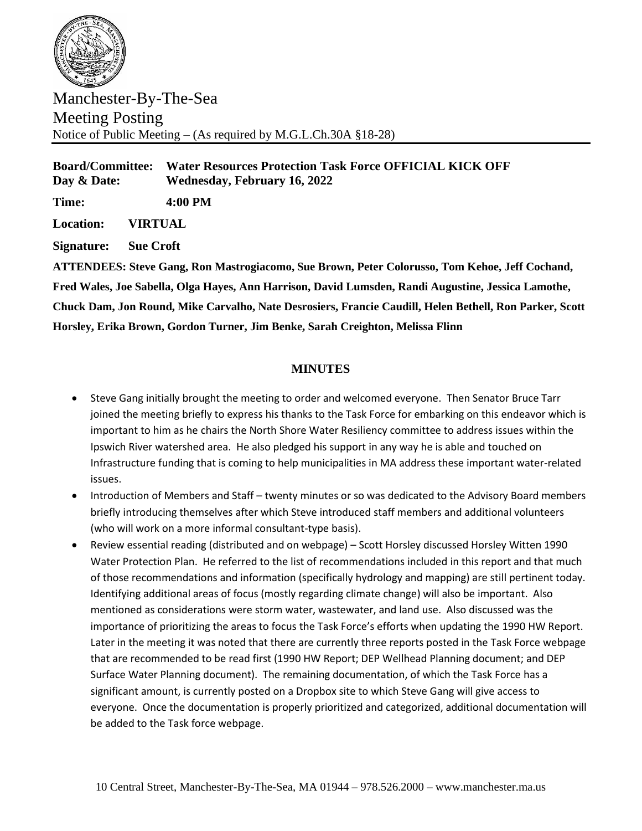

Manchester-By-The-Sea Meeting Posting Notice of Public Meeting – (As required by M.G.L.Ch.30A §18-28)

**Board/Committee: Water Resources Protection Task Force OFFICIAL KICK OFF Day & Date: Wednesday, February 16, 2022**

**Time: 4:00 PM**

**Location: VIRTUAL**

**Signature: Sue Croft**

**ATTENDEES: Steve Gang, Ron Mastrogiacomo, Sue Brown, Peter Colorusso, Tom Kehoe, Jeff Cochand, Fred Wales, Joe Sabella, Olga Hayes, Ann Harrison, David Lumsden, Randi Augustine, Jessica Lamothe, Chuck Dam, Jon Round, Mike Carvalho, Nate Desrosiers, Francie Caudill, Helen Bethell, Ron Parker, Scott Horsley, Erika Brown, Gordon Turner, Jim Benke, Sarah Creighton, Melissa Flinn**

## **MINUTES**

- Steve Gang initially brought the meeting to order and welcomed everyone. Then Senator Bruce Tarr joined the meeting briefly to express his thanks to the Task Force for embarking on this endeavor which is important to him as he chairs the North Shore Water Resiliency committee to address issues within the Ipswich River watershed area. He also pledged his support in any way he is able and touched on Infrastructure funding that is coming to help municipalities in MA address these important water-related issues.
- Introduction of Members and Staff twenty minutes or so was dedicated to the Advisory Board members briefly introducing themselves after which Steve introduced staff members and additional volunteers (who will work on a more informal consultant-type basis).
- Review essential reading (distributed and on webpage) Scott Horsley discussed Horsley Witten 1990 Water Protection Plan. He referred to the list of recommendations included in this report and that much of those recommendations and information (specifically hydrology and mapping) are still pertinent today. Identifying additional areas of focus (mostly regarding climate change) will also be important. Also mentioned as considerations were storm water, wastewater, and land use. Also discussed was the importance of prioritizing the areas to focus the Task Force's efforts when updating the 1990 HW Report. Later in the meeting it was noted that there are currently three reports posted in the Task Force webpage that are recommended to be read first (1990 HW Report; DEP Wellhead Planning document; and DEP Surface Water Planning document). The remaining documentation, of which the Task Force has a significant amount, is currently posted on a Dropbox site to which Steve Gang will give access to everyone. Once the documentation is properly prioritized and categorized, additional documentation will be added to the Task force webpage.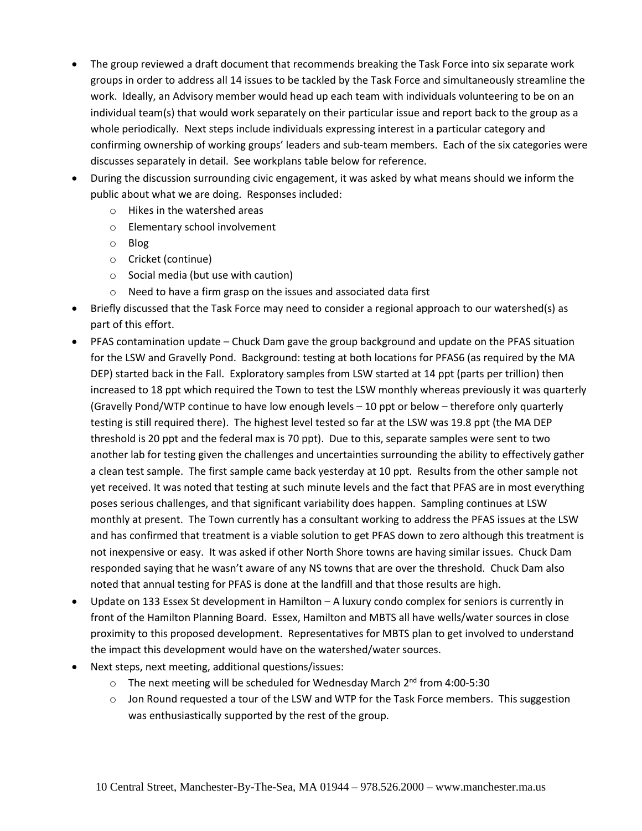- The group reviewed a draft document that recommends breaking the Task Force into six separate work groups in order to address all 14 issues to be tackled by the Task Force and simultaneously streamline the work. Ideally, an Advisory member would head up each team with individuals volunteering to be on an individual team(s) that would work separately on their particular issue and report back to the group as a whole periodically. Next steps include individuals expressing interest in a particular category and confirming ownership of working groups' leaders and sub-team members. Each of the six categories were discusses separately in detail. See workplans table below for reference.
- During the discussion surrounding civic engagement, it was asked by what means should we inform the public about what we are doing. Responses included:
	- o Hikes in the watershed areas
	- o Elementary school involvement
	- o Blog
	- o Cricket (continue)
	- o Social media (but use with caution)
	- o Need to have a firm grasp on the issues and associated data first
- Briefly discussed that the Task Force may need to consider a regional approach to our watershed(s) as part of this effort.
- PFAS contamination update Chuck Dam gave the group background and update on the PFAS situation for the LSW and Gravelly Pond. Background: testing at both locations for PFAS6 (as required by the MA DEP) started back in the Fall. Exploratory samples from LSW started at 14 ppt (parts per trillion) then increased to 18 ppt which required the Town to test the LSW monthly whereas previously it was quarterly (Gravelly Pond/WTP continue to have low enough levels – 10 ppt or below – therefore only quarterly testing is still required there). The highest level tested so far at the LSW was 19.8 ppt (the MA DEP threshold is 20 ppt and the federal max is 70 ppt). Due to this, separate samples were sent to two another lab for testing given the challenges and uncertainties surrounding the ability to effectively gather a clean test sample. The first sample came back yesterday at 10 ppt. Results from the other sample not yet received. It was noted that testing at such minute levels and the fact that PFAS are in most everything poses serious challenges, and that significant variability does happen. Sampling continues at LSW monthly at present. The Town currently has a consultant working to address the PFAS issues at the LSW and has confirmed that treatment is a viable solution to get PFAS down to zero although this treatment is not inexpensive or easy. It was asked if other North Shore towns are having similar issues. Chuck Dam responded saying that he wasn't aware of any NS towns that are over the threshold. Chuck Dam also noted that annual testing for PFAS is done at the landfill and that those results are high.
- Update on 133 Essex St development in Hamilton A luxury condo complex for seniors is currently in front of the Hamilton Planning Board. Essex, Hamilton and MBTS all have wells/water sources in close proximity to this proposed development. Representatives for MBTS plan to get involved to understand the impact this development would have on the watershed/water sources.
- Next steps, next meeting, additional questions/issues:
	- $\circ$  The next meeting will be scheduled for Wednesday March 2<sup>nd</sup> from 4:00-5:30
	- $\circ$  Jon Round requested a tour of the LSW and WTP for the Task Force members. This suggestion was enthusiastically supported by the rest of the group.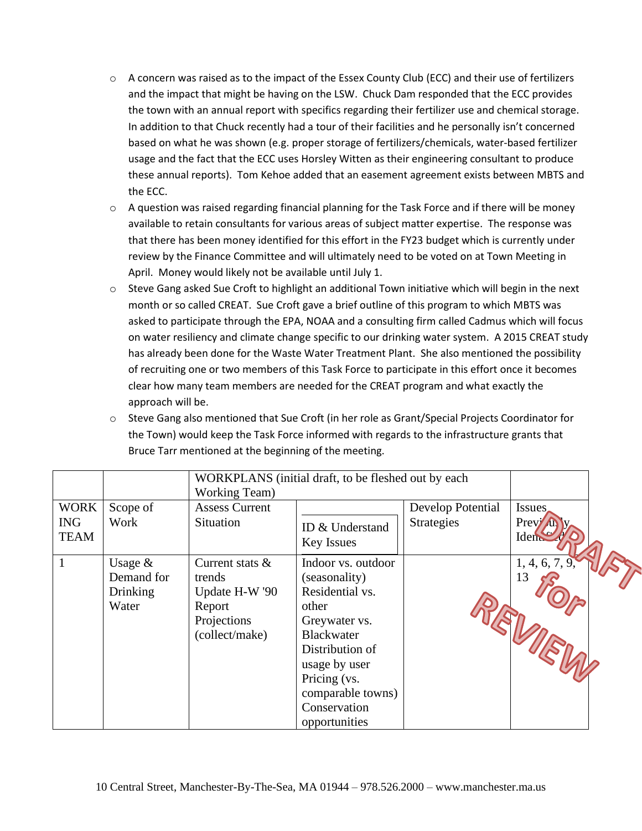- $\circ$  A concern was raised as to the impact of the Essex County Club (ECC) and their use of fertilizers and the impact that might be having on the LSW. Chuck Dam responded that the ECC provides the town with an annual report with specifics regarding their fertilizer use and chemical storage. In addition to that Chuck recently had a tour of their facilities and he personally isn't concerned based on what he was shown (e.g. proper storage of fertilizers/chemicals, water-based fertilizer usage and the fact that the ECC uses Horsley Witten as their engineering consultant to produce these annual reports). Tom Kehoe added that an easement agreement exists between MBTS and the ECC.
- o A question was raised regarding financial planning for the Task Force and if there will be money available to retain consultants for various areas of subject matter expertise. The response was that there has been money identified for this effort in the FY23 budget which is currently under review by the Finance Committee and will ultimately need to be voted on at Town Meeting in April. Money would likely not be available until July 1.
- $\circ$  Steve Gang asked Sue Croft to highlight an additional Town initiative which will begin in the next month or so called CREAT. Sue Croft gave a brief outline of this program to which MBTS was asked to participate through the EPA, NOAA and a consulting firm called Cadmus which will focus on water resiliency and climate change specific to our drinking water system. A 2015 CREAT study has already been done for the Waste Water Treatment Plant. She also mentioned the possibility of recruiting one or two members of this Task Force to participate in this effort once it becomes clear how many team members are needed for the CREAT program and what exactly the approach will be.
- o Steve Gang also mentioned that Sue Croft (in her role as Grant/Special Projects Coordinator for the Town) would keep the Task Force informed with regards to the infrastructure grants that Bruce Tarr mentioned at the beginning of the meeting.

|                                          |                                                     | WORKPLANS (initial draft, to be fleshed out by each<br><b>Working Team</b> )              |                                                                                                                                                                                                                 |                                        |                                 |  |
|------------------------------------------|-----------------------------------------------------|-------------------------------------------------------------------------------------------|-----------------------------------------------------------------------------------------------------------------------------------------------------------------------------------------------------------------|----------------------------------------|---------------------------------|--|
| <b>WORK</b><br><b>ING</b><br><b>TEAM</b> | Scope of<br>Work                                    | <b>Assess Current</b><br>Situation                                                        | ID & Understand<br><b>Key Issues</b>                                                                                                                                                                            | Develop Potential<br><b>Strategies</b> | <b>Issues</b><br>Previ<br>Ident |  |
|                                          | Usage $&$<br>Demand for<br><b>Drinking</b><br>Water | Current stats $\&$<br>trends<br>Update H-W '90<br>Report<br>Projections<br>(collect/make) | Indoor vs. outdoor<br>(seasonality)<br>Residential vs.<br>other<br>Greywater vs.<br><b>Blackwater</b><br>Distribution of<br>usage by user<br>Pricing (vs.<br>comparable towns)<br>Conservation<br>opportunities |                                        | 1, 4, 6, 7, 9<br>13             |  |